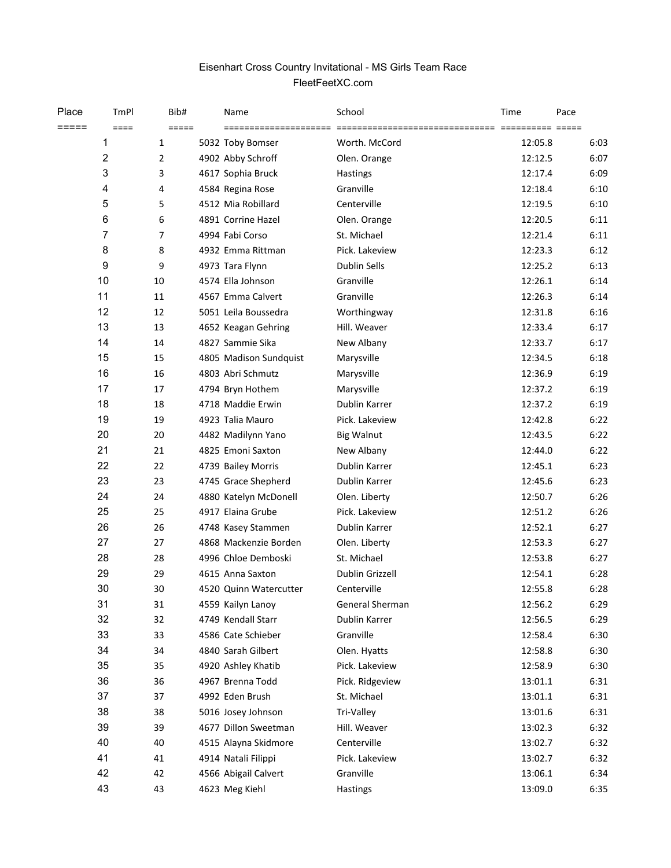## Eisenhart Cross Country Invitational - MS Girls Team Race FleetFeetXC.com

| Place | TmPl           | Bib#           | Name                   | School            | Time    | Pace |
|-------|----------------|----------------|------------------------|-------------------|---------|------|
| ===== | $====$         | =====          | =====================  |                   |         |      |
|       | 1              | $\mathbf{1}$   | 5032 Toby Bomser       | Worth. McCord     | 12:05.8 | 6:03 |
|       | $\overline{2}$ | $\overline{2}$ | 4902 Abby Schroff      | Olen. Orange      | 12:12.5 | 6:07 |
|       | 3              | 3              | 4617 Sophia Bruck      | <b>Hastings</b>   | 12:17.4 | 6:09 |
|       | 4              | 4              | 4584 Regina Rose       | Granville         | 12:18.4 | 6:10 |
|       | 5              | 5              | 4512 Mia Robillard     | Centerville       | 12:19.5 | 6:10 |
|       | 6              | 6              | 4891 Corrine Hazel     | Olen. Orange      | 12:20.5 | 6:11 |
|       | 7              | $\overline{7}$ | 4994 Fabi Corso        | St. Michael       | 12:21.4 | 6:11 |
|       | 8              | 8              | 4932 Emma Rittman      | Pick. Lakeview    | 12:23.3 | 6:12 |
|       | 9              | 9              | 4973 Tara Flynn        | Dublin Sells      | 12:25.2 | 6:13 |
|       | 10             | 10             | 4574 Ella Johnson      | Granville         | 12:26.1 | 6:14 |
|       | 11             | 11             | 4567 Emma Calvert      | Granville         | 12:26.3 | 6:14 |
|       | 12             | 12             | 5051 Leila Boussedra   | Worthingway       | 12:31.8 | 6:16 |
|       | 13             | 13             | 4652 Keagan Gehring    | Hill. Weaver      | 12:33.4 | 6:17 |
|       | 14             | 14             | 4827 Sammie Sika       | New Albany        | 12:33.7 | 6:17 |
|       | 15             | 15             | 4805 Madison Sundquist | Marysville        | 12:34.5 | 6:18 |
|       | 16             | 16             | 4803 Abri Schmutz      | Marysville        | 12:36.9 | 6:19 |
|       | 17             | 17             | 4794 Bryn Hothem       | Marysville        | 12:37.2 | 6:19 |
|       | 18             | 18             | 4718 Maddie Erwin      | Dublin Karrer     | 12:37.2 | 6:19 |
|       | 19             | 19             | 4923 Talia Mauro       | Pick. Lakeview    | 12:42.8 | 6:22 |
|       | 20             | 20             | 4482 Madilynn Yano     | <b>Big Walnut</b> | 12:43.5 | 6:22 |
|       | 21             | 21             | 4825 Emoni Saxton      | New Albany        | 12:44.0 | 6:22 |
|       | 22             | 22             | 4739 Bailey Morris     | Dublin Karrer     | 12:45.1 | 6:23 |
|       | 23             | 23             | 4745 Grace Shepherd    | Dublin Karrer     | 12:45.6 | 6:23 |
|       | 24             | 24             | 4880 Katelyn McDonell  | Olen. Liberty     | 12:50.7 | 6:26 |
|       | 25             | 25             | 4917 Elaina Grube      | Pick. Lakeview    | 12:51.2 | 6:26 |
|       | 26             | 26             | 4748 Kasey Stammen     | Dublin Karrer     | 12:52.1 | 6:27 |
|       | 27             | 27             | 4868 Mackenzie Borden  | Olen. Liberty     | 12:53.3 | 6:27 |
|       | 28             | 28             | 4996 Chloe Demboski    | St. Michael       | 12:53.8 | 6:27 |
|       | 29             | 29             | 4615 Anna Saxton       | Dublin Grizzell   | 12:54.1 | 6:28 |
|       | 30             | 30             | 4520 Quinn Watercutter | Centerville       | 12:55.8 | 6:28 |
|       | 31             | 31             | 4559 Kailyn Lanoy      | General Sherman   | 12:56.2 | 6:29 |
|       | 32             | 32             | 4749 Kendall Starr     | Dublin Karrer     | 12:56.5 | 6:29 |
|       | 33             | 33             | 4586 Cate Schieber     | Granville         | 12:58.4 | 6:30 |
|       | 34             | 34             | 4840 Sarah Gilbert     | Olen. Hyatts      | 12:58.8 | 6:30 |
|       | 35             | 35             | 4920 Ashley Khatib     | Pick. Lakeview    | 12:58.9 | 6:30 |
|       | 36             | 36             | 4967 Brenna Todd       | Pick. Ridgeview   | 13:01.1 | 6:31 |
|       | 37             | 37             | 4992 Eden Brush        | St. Michael       | 13:01.1 | 6:31 |
|       | 38             | 38             | 5016 Josey Johnson     | Tri-Valley        | 13:01.6 | 6:31 |
|       | 39             | 39             | 4677 Dillon Sweetman   | Hill. Weaver      | 13:02.3 | 6:32 |
|       | 40             | 40             | 4515 Alayna Skidmore   | Centerville       | 13:02.7 | 6:32 |
|       | 41             | 41             | 4914 Natali Filippi    | Pick. Lakeview    | 13:02.7 | 6:32 |
|       | 42             | 42             | 4566 Abigail Calvert   | Granville         | 13:06.1 | 6:34 |
|       | 43             | 43             | 4623 Meg Kiehl         | Hastings          | 13:09.0 | 6:35 |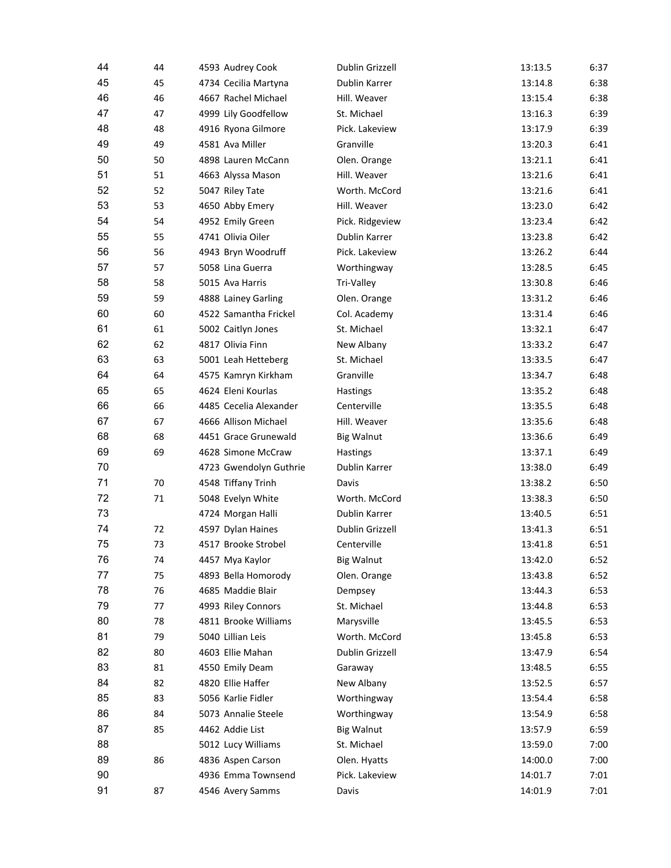| 44 | 44 | 4593 Audrey Cook       | Dublin Grizzell   | 13:13.5 | 6:37 |
|----|----|------------------------|-------------------|---------|------|
| 45 | 45 | 4734 Cecilia Martyna   | Dublin Karrer     | 13:14.8 | 6:38 |
| 46 | 46 | 4667 Rachel Michael    | Hill. Weaver      | 13:15.4 | 6:38 |
| 47 | 47 | 4999 Lily Goodfellow   | St. Michael       | 13:16.3 | 6:39 |
| 48 | 48 | 4916 Ryona Gilmore     | Pick. Lakeview    | 13:17.9 | 6:39 |
| 49 | 49 | 4581 Ava Miller        | Granville         | 13:20.3 | 6:41 |
| 50 | 50 | 4898 Lauren McCann     | Olen. Orange      | 13:21.1 | 6:41 |
| 51 | 51 | 4663 Alyssa Mason      | Hill. Weaver      | 13:21.6 | 6:41 |
| 52 | 52 | 5047 Riley Tate        | Worth. McCord     | 13:21.6 | 6:41 |
| 53 | 53 | 4650 Abby Emery        | Hill. Weaver      | 13:23.0 | 6:42 |
| 54 | 54 | 4952 Emily Green       | Pick. Ridgeview   | 13:23.4 | 6:42 |
| 55 | 55 | 4741 Olivia Oiler      | Dublin Karrer     | 13:23.8 | 6:42 |
| 56 | 56 | 4943 Bryn Woodruff     | Pick. Lakeview    | 13:26.2 | 6:44 |
| 57 | 57 | 5058 Lina Guerra       | Worthingway       | 13:28.5 | 6:45 |
| 58 | 58 | 5015 Ava Harris        | Tri-Valley        | 13:30.8 | 6:46 |
| 59 | 59 | 4888 Lainey Garling    | Olen. Orange      | 13:31.2 | 6:46 |
| 60 | 60 | 4522 Samantha Frickel  | Col. Academy      | 13:31.4 | 6:46 |
| 61 | 61 | 5002 Caitlyn Jones     | St. Michael       | 13:32.1 | 6:47 |
| 62 | 62 | 4817 Olivia Finn       | New Albany        | 13:33.2 | 6:47 |
| 63 | 63 | 5001 Leah Hetteberg    | St. Michael       | 13:33.5 | 6:47 |
| 64 | 64 | 4575 Kamryn Kirkham    | Granville         | 13:34.7 | 6:48 |
| 65 | 65 | 4624 Eleni Kourlas     | Hastings          | 13:35.2 | 6:48 |
| 66 | 66 | 4485 Cecelia Alexander | Centerville       | 13:35.5 | 6:48 |
| 67 | 67 | 4666 Allison Michael   | Hill. Weaver      | 13:35.6 | 6:48 |
| 68 | 68 | 4451 Grace Grunewald   | <b>Big Walnut</b> | 13:36.6 | 6:49 |
| 69 | 69 | 4628 Simone McCraw     | Hastings          | 13:37.1 | 6:49 |
| 70 |    | 4723 Gwendolyn Guthrie | Dublin Karrer     | 13:38.0 | 6:49 |
| 71 | 70 | 4548 Tiffany Trinh     | Davis             | 13:38.2 | 6:50 |
| 72 | 71 | 5048 Evelyn White      | Worth. McCord     | 13:38.3 | 6:50 |
| 73 |    | 4724 Morgan Halli      | Dublin Karrer     | 13:40.5 | 6:51 |
| 74 | 72 | 4597 Dylan Haines      | Dublin Grizzell   | 13:41.3 | 6:51 |
| 75 | 73 | 4517 Brooke Strobel    | Centerville       | 13:41.8 | 6:51 |
| 76 | 74 | 4457 Mya Kaylor        | <b>Big Walnut</b> | 13:42.0 | 6:52 |
| 77 | 75 | 4893 Bella Homorody    | Olen. Orange      | 13:43.8 | 6:52 |
| 78 | 76 | 4685 Maddie Blair      | Dempsey           | 13:44.3 | 6:53 |
| 79 | 77 | 4993 Riley Connors     | St. Michael       | 13:44.8 | 6:53 |
| 80 | 78 | 4811 Brooke Williams   | Marysville        | 13:45.5 | 6:53 |
| 81 | 79 | 5040 Lillian Leis      | Worth. McCord     | 13:45.8 | 6:53 |
| 82 | 80 | 4603 Ellie Mahan       | Dublin Grizzell   | 13:47.9 | 6:54 |
| 83 | 81 | 4550 Emily Deam        | Garaway           | 13:48.5 | 6:55 |
| 84 | 82 | 4820 Ellie Haffer      | New Albany        | 13:52.5 | 6:57 |
| 85 | 83 | 5056 Karlie Fidler     | Worthingway       | 13:54.4 | 6:58 |
| 86 | 84 | 5073 Annalie Steele    | Worthingway       | 13:54.9 | 6:58 |
| 87 | 85 | 4462 Addie List        | <b>Big Walnut</b> | 13:57.9 | 6:59 |
| 88 |    | 5012 Lucy Williams     | St. Michael       | 13:59.0 | 7:00 |
| 89 | 86 | 4836 Aspen Carson      | Olen. Hyatts      | 14:00.0 | 7:00 |
| 90 |    | 4936 Emma Townsend     | Pick. Lakeview    | 14:01.7 | 7:01 |
| 91 | 87 | 4546 Avery Samms       | Davis             | 14:01.9 | 7:01 |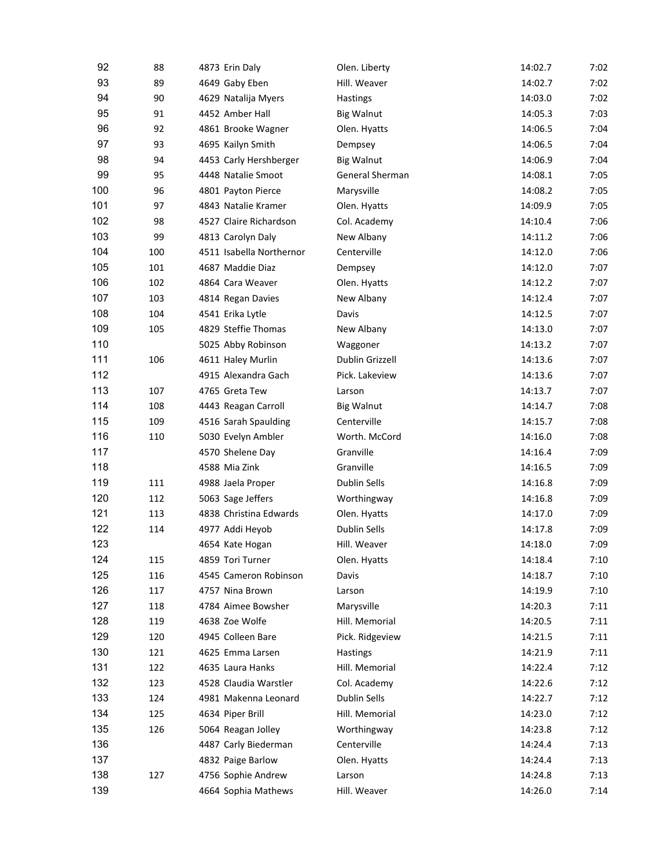| 92  | 88  | 4873 Erin Daly           | Olen. Liberty       | 14:02.7 | 7:02 |
|-----|-----|--------------------------|---------------------|---------|------|
| 93  | 89  | 4649 Gaby Eben           | Hill. Weaver        | 14:02.7 | 7:02 |
| 94  | 90  | 4629 Natalija Myers      | <b>Hastings</b>     | 14:03.0 | 7:02 |
| 95  | 91  | 4452 Amber Hall          | <b>Big Walnut</b>   | 14:05.3 | 7:03 |
| 96  | 92  | 4861 Brooke Wagner       | Olen. Hyatts        | 14:06.5 | 7:04 |
| 97  | 93  | 4695 Kailyn Smith        | Dempsey             | 14:06.5 | 7:04 |
| 98  | 94  | 4453 Carly Hershberger   | <b>Big Walnut</b>   | 14:06.9 | 7:04 |
| 99  | 95  | 4448 Natalie Smoot       | General Sherman     | 14:08.1 | 7:05 |
| 100 | 96  | 4801 Payton Pierce       | Marysville          | 14:08.2 | 7:05 |
| 101 | 97  | 4843 Natalie Kramer      | Olen. Hyatts        | 14:09.9 | 7:05 |
| 102 | 98  | 4527 Claire Richardson   | Col. Academy        | 14:10.4 | 7:06 |
| 103 | 99  | 4813 Carolyn Daly        | New Albany          | 14:11.2 | 7:06 |
| 104 | 100 | 4511 Isabella Northernor | Centerville         | 14:12.0 | 7:06 |
| 105 | 101 | 4687 Maddie Diaz         | Dempsey             | 14:12.0 | 7:07 |
| 106 | 102 | 4864 Cara Weaver         | Olen. Hyatts        | 14:12.2 | 7:07 |
| 107 | 103 | 4814 Regan Davies        | New Albany          | 14:12.4 | 7:07 |
| 108 | 104 | 4541 Erika Lytle         | Davis               | 14:12.5 | 7:07 |
| 109 | 105 | 4829 Steffie Thomas      | New Albany          | 14:13.0 | 7:07 |
| 110 |     | 5025 Abby Robinson       | Waggoner            | 14:13.2 | 7:07 |
| 111 | 106 | 4611 Haley Murlin        | Dublin Grizzell     | 14:13.6 | 7:07 |
| 112 |     | 4915 Alexandra Gach      | Pick. Lakeview      | 14:13.6 | 7:07 |
| 113 | 107 | 4765 Greta Tew           | Larson              | 14:13.7 | 7:07 |
| 114 | 108 | 4443 Reagan Carroll      | <b>Big Walnut</b>   | 14:14.7 | 7:08 |
| 115 | 109 | 4516 Sarah Spaulding     | Centerville         | 14:15.7 | 7:08 |
| 116 | 110 | 5030 Evelyn Ambler       | Worth. McCord       | 14:16.0 | 7:08 |
| 117 |     | 4570 Shelene Day         | Granville           | 14:16.4 | 7:09 |
| 118 |     | 4588 Mia Zink            | Granville           | 14:16.5 | 7:09 |
| 119 | 111 |                          | Dublin Sells        |         |      |
|     |     | 4988 Jaela Proper        |                     | 14:16.8 | 7:09 |
| 120 | 112 | 5063 Sage Jeffers        | Worthingway         | 14:16.8 | 7:09 |
| 121 | 113 | 4838 Christina Edwards   | Olen. Hyatts        | 14:17.0 | 7:09 |
| 122 | 114 | 4977 Addi Heyob          | Dublin Sells        | 14:17.8 | 7:09 |
| 123 |     | 4654 Kate Hogan          | Hill. Weaver        | 14:18.0 | 7:09 |
| 124 | 115 | 4859 Tori Turner         | Olen. Hyatts        | 14:18.4 | 7:10 |
| 125 | 116 | 4545 Cameron Robinson    | Davis               | 14:18.7 | 7:10 |
| 126 | 117 | 4757 Nina Brown          | Larson              | 14:19.9 | 7:10 |
| 127 | 118 | 4784 Aimee Bowsher       | Marysville          | 14:20.3 | 7:11 |
| 128 | 119 | 4638 Zoe Wolfe           | Hill. Memorial      | 14:20.5 | 7:11 |
| 129 | 120 | 4945 Colleen Bare        | Pick. Ridgeview     | 14:21.5 | 7:11 |
| 130 | 121 | 4625 Emma Larsen         | Hastings            | 14:21.9 | 7:11 |
| 131 | 122 | 4635 Laura Hanks         | Hill. Memorial      | 14:22.4 | 7:12 |
| 132 | 123 | 4528 Claudia Warstler    | Col. Academy        | 14:22.6 | 7:12 |
| 133 | 124 | 4981 Makenna Leonard     | <b>Dublin Sells</b> | 14:22.7 | 7:12 |
| 134 | 125 | 4634 Piper Brill         | Hill. Memorial      | 14:23.0 | 7:12 |
| 135 | 126 | 5064 Reagan Jolley       | Worthingway         | 14:23.8 | 7:12 |
| 136 |     | 4487 Carly Biederman     | Centerville         | 14:24.4 | 7:13 |
| 137 |     | 4832 Paige Barlow        | Olen. Hyatts        | 14:24.4 | 7:13 |
| 138 | 127 | 4756 Sophie Andrew       | Larson              | 14:24.8 | 7:13 |
| 139 |     | 4664 Sophia Mathews      | Hill. Weaver        | 14:26.0 | 7:14 |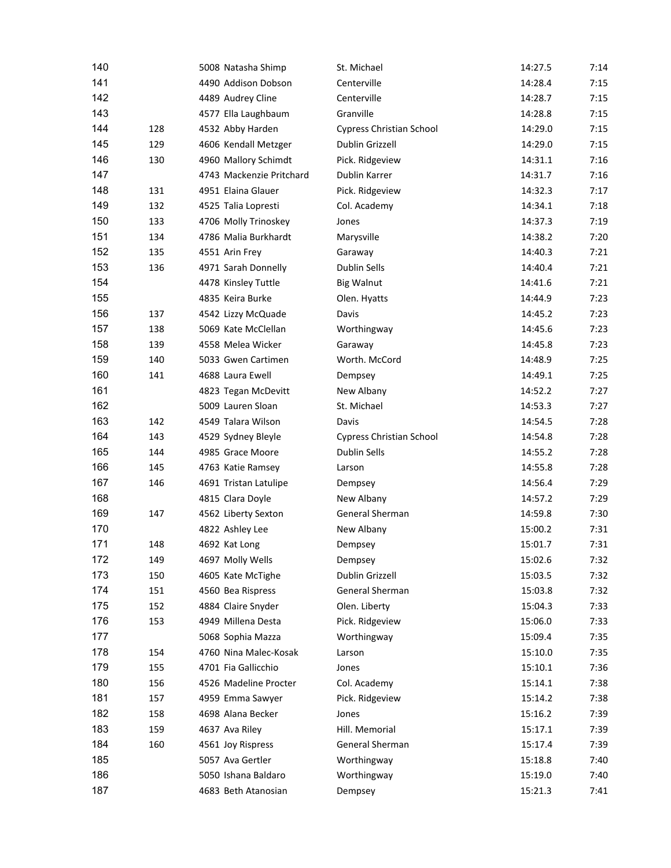| 140        |     | 5008 Natasha Shimp       | St. Michael                     | 14:27.5 | 7:14 |
|------------|-----|--------------------------|---------------------------------|---------|------|
| 141        |     | 4490 Addison Dobson      | Centerville                     | 14:28.4 | 7:15 |
| 142        |     | 4489 Audrey Cline        | Centerville                     | 14:28.7 | 7:15 |
| 143        |     | 4577 Ella Laughbaum      | Granville                       | 14:28.8 | 7:15 |
| 144        | 128 | 4532 Abby Harden         | <b>Cypress Christian School</b> | 14:29.0 | 7:15 |
| 145        | 129 | 4606 Kendall Metzger     | Dublin Grizzell                 | 14:29.0 | 7:15 |
| 146        | 130 | 4960 Mallory Schimdt     | Pick. Ridgeview                 | 14:31.1 | 7:16 |
| 147        |     | 4743 Mackenzie Pritchard | Dublin Karrer                   | 14:31.7 | 7:16 |
| 148        | 131 | 4951 Elaina Glauer       | Pick. Ridgeview                 | 14:32.3 | 7:17 |
| 149        | 132 | 4525 Talia Lopresti      | Col. Academy                    | 14:34.1 | 7:18 |
| 150        | 133 | 4706 Molly Trinoskey     | Jones                           | 14:37.3 | 7:19 |
| 151        | 134 | 4786 Malia Burkhardt     | Marysville                      | 14:38.2 | 7:20 |
| 152        | 135 | 4551 Arin Frey           | Garaway                         | 14:40.3 | 7:21 |
| 153        | 136 | 4971 Sarah Donnelly      | Dublin Sells                    | 14:40.4 | 7:21 |
| 154        |     | 4478 Kinsley Tuttle      | <b>Big Walnut</b>               | 14:41.6 | 7:21 |
| 155        |     | 4835 Keira Burke         | Olen. Hyatts                    | 14:44.9 | 7:23 |
| 156        | 137 | 4542 Lizzy McQuade       | Davis                           | 14:45.2 | 7:23 |
| 157        | 138 | 5069 Kate McClellan      | Worthingway                     | 14:45.6 | 7:23 |
| 158        | 139 | 4558 Melea Wicker        | Garaway                         | 14:45.8 | 7:23 |
| 159        | 140 | 5033 Gwen Cartimen       | Worth. McCord                   | 14:48.9 | 7:25 |
| 160        | 141 | 4688 Laura Ewell         | Dempsey                         | 14:49.1 | 7:25 |
| 161        |     | 4823 Tegan McDevitt      | New Albany                      | 14:52.2 | 7:27 |
| 162        |     | 5009 Lauren Sloan        | St. Michael                     | 14:53.3 | 7:27 |
| 163        | 142 | 4549 Talara Wilson       | Davis                           | 14:54.5 | 7:28 |
| 164        | 143 | 4529 Sydney Bleyle       | <b>Cypress Christian School</b> | 14:54.8 | 7:28 |
| 165        | 144 | 4985 Grace Moore         | Dublin Sells                    | 14:55.2 | 7:28 |
| 166        | 145 | 4763 Katie Ramsey        | Larson                          | 14:55.8 | 7:28 |
| 167        | 146 | 4691 Tristan Latulipe    | Dempsey                         | 14:56.4 | 7:29 |
| 168        |     | 4815 Clara Doyle         | New Albany                      | 14:57.2 | 7:29 |
| 169        | 147 | 4562 Liberty Sexton      | General Sherman                 | 14:59.8 | 7:30 |
| 170        |     | 4822 Ashley Lee          | New Albany                      | 15:00.2 | 7:31 |
| 171        | 148 |                          |                                 | 15:01.7 | 7:31 |
|            |     | 4692 Kat Long            | Dempsey                         |         |      |
| 172<br>173 | 149 | 4697 Molly Wells         | Dempsey<br>Dublin Grizzell      | 15:02.6 | 7:32 |
|            | 150 | 4605 Kate McTighe        | General Sherman                 | 15:03.5 | 7:32 |
| 174        | 151 | 4560 Bea Rispress        |                                 | 15:03.8 | 7:32 |
| 175        | 152 | 4884 Claire Snyder       | Olen. Liberty                   | 15:04.3 | 7:33 |
| 176        | 153 | 4949 Millena Desta       | Pick. Ridgeview                 | 15:06.0 | 7:33 |
| 177        |     | 5068 Sophia Mazza        | Worthingway                     | 15:09.4 | 7:35 |
| 178        | 154 | 4760 Nina Malec-Kosak    | Larson                          | 15:10.0 | 7:35 |
| 179        | 155 | 4701 Fia Gallicchio      | Jones                           | 15:10.1 | 7:36 |
| 180        | 156 | 4526 Madeline Procter    | Col. Academy                    | 15:14.1 | 7:38 |
| 181        | 157 | 4959 Emma Sawyer         | Pick. Ridgeview                 | 15:14.2 | 7:38 |
| 182        | 158 | 4698 Alana Becker        | Jones                           | 15:16.2 | 7:39 |
| 183        | 159 | 4637 Ava Riley           | Hill. Memorial                  | 15:17.1 | 7:39 |
| 184        | 160 | 4561 Joy Rispress        | General Sherman                 | 15:17.4 | 7:39 |
| 185        |     | 5057 Ava Gertler         | Worthingway                     | 15:18.8 | 7:40 |
| 186        |     | 5050 Ishana Baldaro      | Worthingway                     | 15:19.0 | 7:40 |
| 187        |     | 4683 Beth Atanosian      | Dempsey                         | 15:21.3 | 7:41 |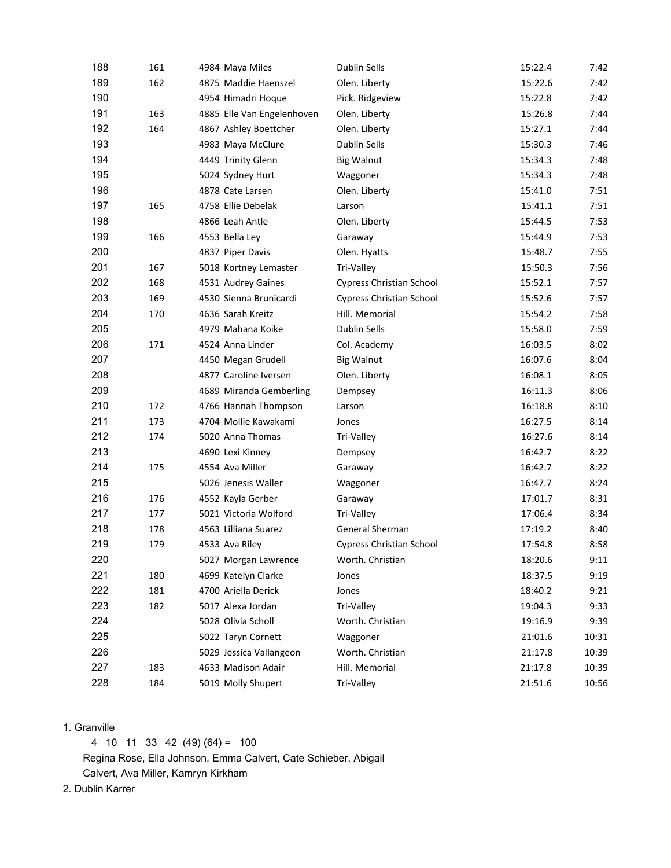| 188 | 161 | 4984 Maya Miles            | <b>Dublin Sells</b>             | 15:22.4 | 7:42  |
|-----|-----|----------------------------|---------------------------------|---------|-------|
| 189 | 162 | 4875 Maddie Haenszel       | Olen. Liberty                   | 15:22.6 | 7:42  |
| 190 |     | 4954 Himadri Hoque         | Pick. Ridgeview                 | 15:22.8 | 7:42  |
| 191 | 163 | 4885 Elle Van Engelenhoven | Olen. Liberty                   | 15:26.8 | 7:44  |
| 192 | 164 | 4867 Ashley Boettcher      | Olen. Liberty                   | 15:27.1 | 7:44  |
| 193 |     | 4983 Maya McClure          | Dublin Sells                    | 15:30.3 | 7:46  |
| 194 |     | 4449 Trinity Glenn         | <b>Big Walnut</b>               | 15:34.3 | 7:48  |
| 195 |     | 5024 Sydney Hurt           | Waggoner                        | 15:34.3 | 7:48  |
| 196 |     | 4878 Cate Larsen           | Olen. Liberty                   | 15:41.0 | 7:51  |
| 197 | 165 | 4758 Ellie Debelak         | Larson                          | 15:41.1 | 7:51  |
| 198 |     | 4866 Leah Antle            | Olen. Liberty                   | 15:44.5 | 7:53  |
| 199 | 166 | 4553 Bella Ley             | Garaway                         | 15:44.9 | 7:53  |
| 200 |     | 4837 Piper Davis           | Olen. Hyatts                    | 15:48.7 | 7:55  |
| 201 | 167 | 5018 Kortney Lemaster      | Tri-Valley                      | 15:50.3 | 7:56  |
| 202 | 168 | 4531 Audrey Gaines         | <b>Cypress Christian School</b> | 15:52.1 | 7:57  |
| 203 | 169 | 4530 Sienna Brunicardi     | <b>Cypress Christian School</b> | 15:52.6 | 7:57  |
| 204 | 170 | 4636 Sarah Kreitz          | Hill. Memorial                  | 15:54.2 | 7:58  |
| 205 |     | 4979 Mahana Koike          | Dublin Sells                    | 15:58.0 | 7:59  |
| 206 | 171 | 4524 Anna Linder           | Col. Academy                    | 16:03.5 | 8:02  |
| 207 |     | 4450 Megan Grudell         | <b>Big Walnut</b>               | 16:07.6 | 8:04  |
| 208 |     | 4877 Caroline Iversen      | Olen. Liberty                   | 16:08.1 | 8:05  |
| 209 |     | 4689 Miranda Gemberling    | Dempsey                         | 16:11.3 | 8:06  |
| 210 | 172 | 4766 Hannah Thompson       | Larson                          | 16:18.8 | 8:10  |
| 211 | 173 | 4704 Mollie Kawakami       | Jones                           | 16:27.5 | 8:14  |
| 212 | 174 | 5020 Anna Thomas           | Tri-Valley                      | 16:27.6 | 8:14  |
| 213 |     | 4690 Lexi Kinney           | Dempsey                         | 16:42.7 | 8:22  |
| 214 | 175 | 4554 Ava Miller            | Garaway                         | 16:42.7 | 8:22  |
| 215 |     | 5026 Jenesis Waller        | Waggoner                        | 16:47.7 | 8:24  |
| 216 | 176 | 4552 Kayla Gerber          | Garaway                         | 17:01.7 | 8:31  |
| 217 | 177 | 5021 Victoria Wolford      | Tri-Valley                      | 17:06.4 | 8:34  |
| 218 | 178 | 4563 Lilliana Suarez       | General Sherman                 | 17:19.2 | 8:40  |
| 219 | 179 | 4533 Ava Riley             | <b>Cypress Christian School</b> | 17:54.8 | 8:58  |
| 220 |     | 5027 Morgan Lawrence       | Worth. Christian                | 18:20.6 | 9:11  |
| 221 | 180 | 4699 Katelyn Clarke        | Jones                           | 18:37.5 | 9:19  |
| 222 | 181 | 4700 Ariella Derick        | Jones                           | 18:40.2 | 9:21  |
| 223 | 182 | 5017 Alexa Jordan          | Tri-Valley                      | 19:04.3 | 9:33  |
| 224 |     | 5028 Olivia Scholl         | Worth. Christian                | 19:16.9 | 9:39  |
| 225 |     | 5022 Taryn Cornett         | Waggoner                        | 21:01.6 | 10:31 |
| 226 |     | 5029 Jessica Vallangeon    | Worth. Christian                | 21:17.8 | 10:39 |
| 227 | 183 | 4633 Madison Adair         | Hill. Memorial                  | 21:17.8 | 10:39 |
| 228 | 184 | 5019 Molly Shupert         | Tri-Valley                      | 21:51.6 | 10:56 |

## 1. Granville

4 10 11 33 42 (49) (64) = 100

Regina Rose, Ella Johnson, Emma Calvert, Cate Schieber, Abigail

Calvert, Ava Miller, Kamryn Kirkham

2. Dublin Karrer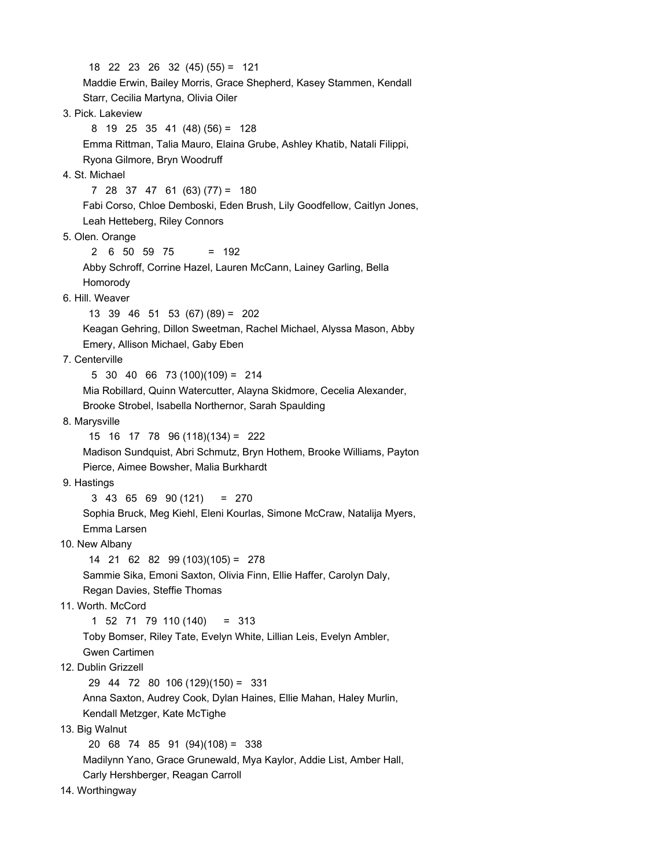18 22 23 26 32 (45) (55) = 121 Maddie Erwin, Bailey Morris, Grace Shepherd, Kasey Stammen, Kendall Starr, Cecilia Martyna, Olivia Oiler 3. Pick. Lakeview 8 19 25 35 41 (48) (56) = 128 Emma Rittman, Talia Mauro, Elaina Grube, Ashley Khatib, Natali Filippi, Ryona Gilmore, Bryn Woodruff 4. St. Michael 7 28 37 47 61 (63) (77) = 180 Fabi Corso, Chloe Demboski, Eden Brush, Lily Goodfellow, Caitlyn Jones, Leah Hetteberg, Riley Connors 5. Olen. Orange 2 6 50 59 75 = 192 Abby Schroff, Corrine Hazel, Lauren McCann, Lainey Garling, Bella Homorody 6. Hill. Weaver 13 39 46 51 53 (67) (89) = 202 Keagan Gehring, Dillon Sweetman, Rachel Michael, Alyssa Mason, Abby Emery, Allison Michael, Gaby Eben 7. Centerville 5 30 40 66 73 (100)(109) = 214 Mia Robillard, Quinn Watercutter, Alayna Skidmore, Cecelia Alexander, Brooke Strobel, Isabella Northernor, Sarah Spaulding 8. Marysville 15 16 17 78 96 (118)(134) = 222 Madison Sundquist, Abri Schmutz, Bryn Hothem, Brooke Williams, Payton Pierce, Aimee Bowsher, Malia Burkhardt 9. Hastings 3 43 65 69 90 (121) = 270 Sophia Bruck, Meg Kiehl, Eleni Kourlas, Simone McCraw, Natalija Myers, Emma Larsen 10. New Albany 14 21 62 82 99 (103)(105) = 278 Sammie Sika, Emoni Saxton, Olivia Finn, Ellie Haffer, Carolyn Daly, Regan Davies, Steffie Thomas 11. Worth. McCord 1 52 71 79 110 (140) = 313 Toby Bomser, Riley Tate, Evelyn White, Lillian Leis, Evelyn Ambler, Gwen Cartimen 12. Dublin Grizzell 29 44 72 80 106 (129)(150) = 331 Anna Saxton, Audrey Cook, Dylan Haines, Ellie Mahan, Haley Murlin, Kendall Metzger, Kate McTighe 13. Big Walnut 20 68 74 85 91 (94)(108) = 338 Madilynn Yano, Grace Grunewald, Mya Kaylor, Addie List, Amber Hall, Carly Hershberger, Reagan Carroll

14. Worthingway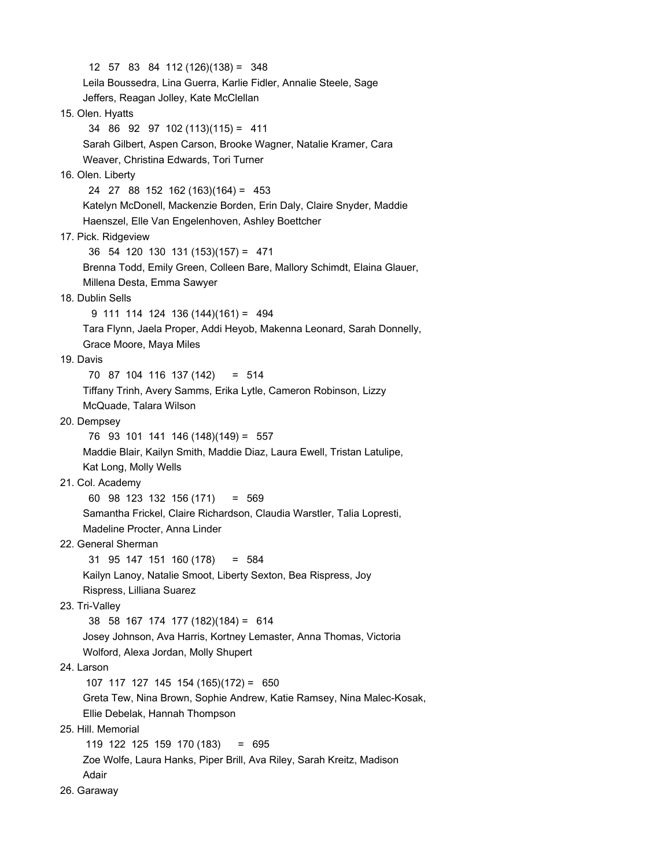12 57 83 84 112 (126)(138) = 348 Leila Boussedra, Lina Guerra, Karlie Fidler, Annalie Steele, Sage Jeffers, Reagan Jolley, Kate McClellan 15. Olen. Hyatts 34 86 92 97 102 (113)(115) = 411 Sarah Gilbert, Aspen Carson, Brooke Wagner, Natalie Kramer, Cara Weaver, Christina Edwards, Tori Turner 16. Olen. Liberty 24 27 88 152 162 (163)(164) = 453 Katelyn McDonell, Mackenzie Borden, Erin Daly, Claire Snyder, Maddie Haenszel, Elle Van Engelenhoven, Ashley Boettcher 17. Pick. Ridgeview 36 54 120 130 131 (153)(157) = 471 Brenna Todd, Emily Green, Colleen Bare, Mallory Schimdt, Elaina Glauer, Millena Desta, Emma Sawyer 18. Dublin Sells 9 111 114 124 136 (144)(161) = 494 Tara Flynn, Jaela Proper, Addi Heyob, Makenna Leonard, Sarah Donnelly, Grace Moore, Maya Miles 19. Davis 70 87 104 116 137 (142) = 514 Tiffany Trinh, Avery Samms, Erika Lytle, Cameron Robinson, Lizzy McQuade, Talara Wilson 20. Dempsey 76 93 101 141 146 (148)(149) = 557 Maddie Blair, Kailyn Smith, Maddie Diaz, Laura Ewell, Tristan Latulipe, Kat Long, Molly Wells 21. Col. Academy 60 98 123 132 156 (171) = 569 Samantha Frickel, Claire Richardson, Claudia Warstler, Talia Lopresti, Madeline Procter, Anna Linder 22. General Sherman 31 95 147 151 160 (178) = 584 Kailyn Lanoy, Natalie Smoot, Liberty Sexton, Bea Rispress, Joy Rispress, Lilliana Suarez 23. Tri-Valley 38 58 167 174 177 (182)(184) = 614 Josey Johnson, Ava Harris, Kortney Lemaster, Anna Thomas, Victoria Wolford, Alexa Jordan, Molly Shupert 24. Larson 107 117 127 145 154 (165)(172) = 650 Greta Tew, Nina Brown, Sophie Andrew, Katie Ramsey, Nina Malec-Kosak, Ellie Debelak, Hannah Thompson 25. Hill. Memorial 119 122 125 159 170 (183) = 695 Zoe Wolfe, Laura Hanks, Piper Brill, Ava Riley, Sarah Kreitz, Madison Adair 26. Garaway